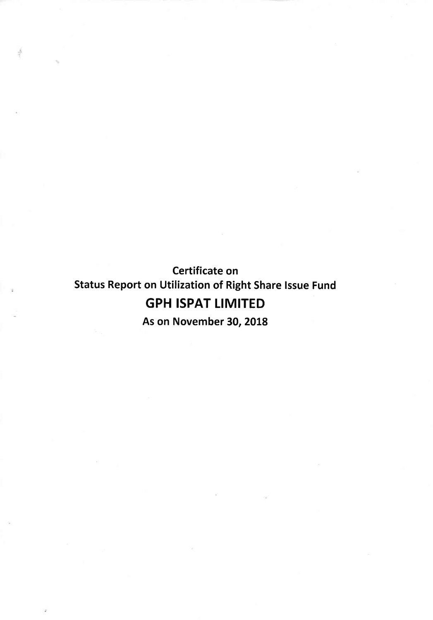Certificate on Status Report on Utilization of Right Share Issue Fund **GPH ISPAT LIMITED** 

As on November 30, 2018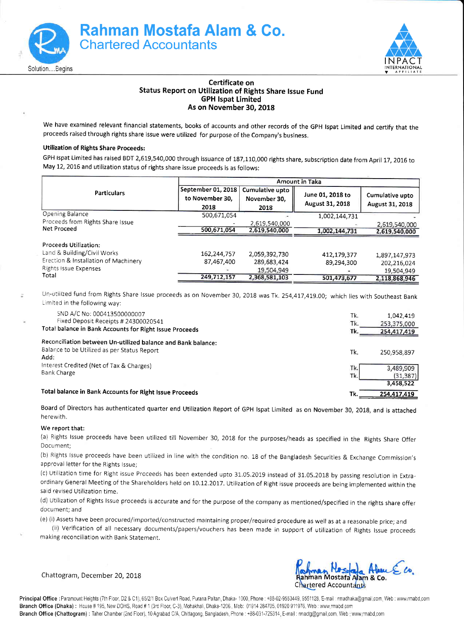



## Certificate on Status Report on Utilization of Rights Share lssue Fund GPH lspat Limited As on November 30, 2018

We have examined relevant financial statements, books of accounts and other records of the GPH lspat Limited and certify that the proceeds raised through rights share issue were utilized for purpose of the Company's business.

## Utilization of Rights Share proceeds:

GPH Ispat Limited has raised BDT 2,619,540,000 through issuance of 187,110,000 rights share, subscription date from April 17, 2016 to May 12, 2015 and utilization status of rights share issue proceeds is as follows:

|                                      |                                       |                                 | <b>Amount in Taka</b>               |                                    |
|--------------------------------------|---------------------------------------|---------------------------------|-------------------------------------|------------------------------------|
| <b>Particulars</b>                   | September 01, 2018<br>to November 30. | Cumulative upto<br>November 30. | June 01, 2018 to<br>August 31, 2018 | Cumulative upto<br>August 31, 2018 |
|                                      | 2018                                  | 2018                            |                                     |                                    |
| Opening Balance                      | 500,671,054                           |                                 | 1,002,144,731                       |                                    |
| Proceeds from Rights Share Issue     |                                       | 2,619,540,000                   |                                     | 2,619,540,000                      |
| Net Proceed                          | 500,671,054                           | 2,619,540,000                   | 1,002,144,731                       | 2,619,540,000                      |
| Proceeds Utilization:                |                                       |                                 |                                     |                                    |
| Land & Building/Civil Works          | 162,244,757                           | 2,059,392,730                   | 412,179,377                         | 1,897,147,973                      |
| Erection & Installation of Machinery | 87,467,400                            | 289,683,424                     | 89,294,300                          | 202,216,024                        |
| Rights Issue Expenses                |                                       | 19,504,949                      |                                     | 19,504,949                         |
| Total                                | 249,712,157                           | 2,368,581,103                   | 501,473,677                         | 2,118,868,946                      |

Un-utilized fund from Rights Share Issue proceeds as on November 30, 2018 was Tk. 254,417,419.00; which lies with Southeast Bank Limited in the following way:

| SND A/C No: 000413500000007<br>Fixed Deposit Receipts # 24300020541                                                 | Tk.<br>Tk. | 1,042,419<br>253,375,000            |
|---------------------------------------------------------------------------------------------------------------------|------------|-------------------------------------|
| Total balance in Bank Accounts for Right Issue Proceeds                                                             | Tk.        | 254,417,419                         |
| Reconciliation between Un-utilized balance and Bank balance:<br>Balance to be Utilized as per Status Report<br>Add: | Tk.        | 250,958,897                         |
| Interest Credited (Net of Tax & Charges)<br>Bank Charge                                                             | Tk.<br>Tk. | 3,489,909<br>(31, 387)<br>3,458,522 |
| Total balance in Bank Accounts for Right Issue Proceeds                                                             | Tk.        | 254,417,419                         |

Board of Directors has authenticated quarter end Utilization Report of GpH lspat Limited as on November 30, 2018, and is attached herewith.

## We report that:

(a) Rights lssue proceeds have been utilized till November 30, 201g for the purposes/heads as specified in the Rights share offer Docu ment;

(b) Rights Issue proceeds have been utilized in line with the condition no. 18 of the Bangladesh Securities & Exchange Commission's approval letter for the Rights lssue;

(c) Utilization time for Right issue Proceeds has been extended upto 31.05.2019 instead of 31.05.2018 by passing resolution in Extraordinary General Meeting of the Shareholders held on 10.12.2017. Utilization of Right issue proceeds are being implemented within the said revised Utilization time.

(d) Utilization of Rights Issue proceeds is accurate and for the purpose of the company as mentioned/specified in the rights share offer document; and

(e) (i) Assets have been procured/imported/constructed marntaining proper/required procedure as well as at a reasonable price; and

(ii) Verification of all necessary documents/papers/vouchers has been made in support of utilization of Rights Issue proceeds making reconciliation with Bank Statement.

Chattogram, December 20, 2018

Rahman Mostafa Alam & Co.<br>Chartered Accountants

Principal Office : Paramount Heights (7th Floor, D2 & C1), 65/2/1 Box Culvert Road, Purana Paltan, Dhaka- 1000. Phone : +88-02-9553449, 9551128, E-mail : rmadhaka@gmail.com, Web : www.rmabd.com Branch Office (Dhaka): House #195, New DOHS, Road #1 (3rd Floor, C-3), Mohakhali, Dhaka-1206., Mob: 01914 284705, 01920 911976, Web: www.rmabd.com Branch Office (Chattogram): Taher Chamber (2nd Floor), 10 Agrabad C/A, Chittagong, Bangladesh. Phone: +88-031-725314, E-mail: mactg@gmail.com, Web : www.mnabd.com